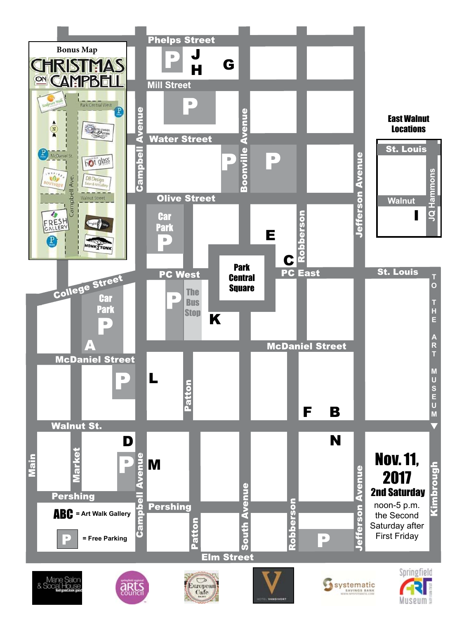